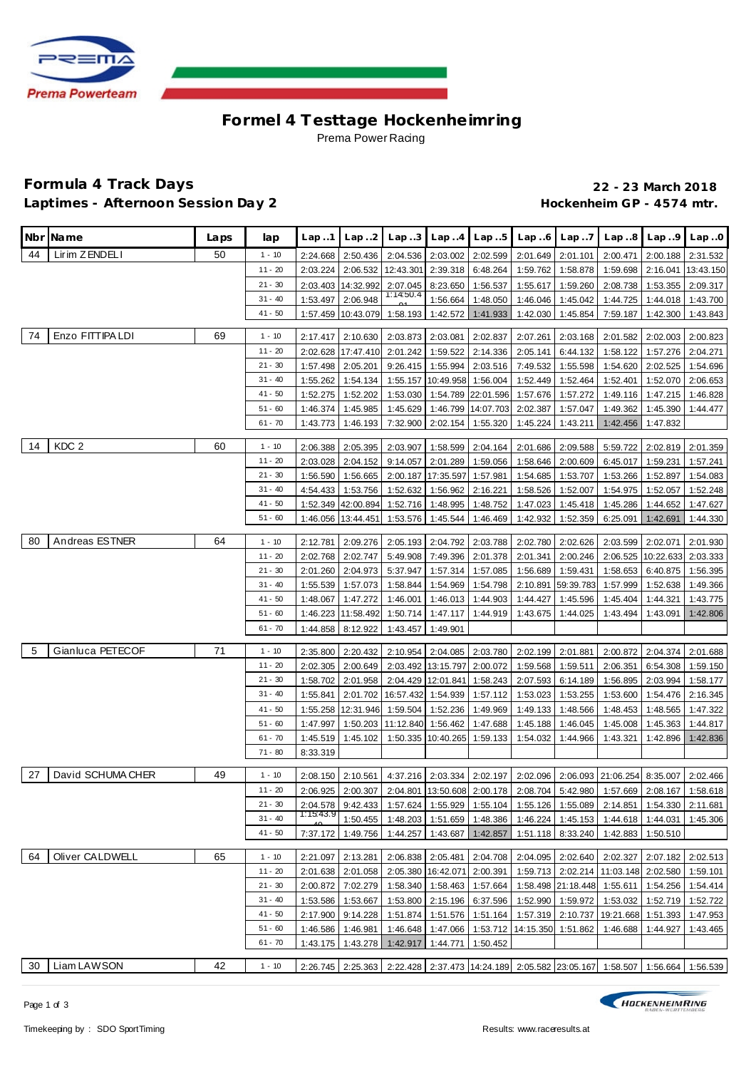

# **Formel 4 Testtage Hockenhe imring** Prema Power Racing

#### **Formula 4 Track Days 22 - 23 March 2018** Laptimes - Afternoon Session Day 2 **Accession 1 and Access 2 and Access 2 and Access** Hockenheim GP - 4574 mtr.

|    | Nbr Name          | Laps | lap       | Lap.1     | Lap.2              | Lap.3                                | Lap.4               | Lap.5                                                                                 | Lap6     | Lap.7     | Lap.8                                                                                      | Lap.9              | Lap.0     |
|----|-------------------|------|-----------|-----------|--------------------|--------------------------------------|---------------------|---------------------------------------------------------------------------------------|----------|-----------|--------------------------------------------------------------------------------------------|--------------------|-----------|
| 44 | Lirim ZENDELI     | 50   | $1 - 10$  | 2:24.668  | 2:50.436           | 2:04.536                             | 2:03.002            | 2:02.599                                                                              | 2:01.649 | 2:01.101  | 2:00.471                                                                                   | 2:00.188           | 2:31.532  |
|    |                   |      | $11 - 20$ | 2:03.224  | 2:06.532           | 12:43.301                            | 2:39.318            | 6:48.264                                                                              | 1:59.762 | 1:58.878  | 1:59.698                                                                                   | 2:16.041           | 13:43.150 |
|    |                   |      | $21 - 30$ |           | 2:03.403 14:32.992 | 2:07.045                             | 8:23.650            | 1:56.537                                                                              | 1:55.617 | 1:59.260  | 2:08.738                                                                                   | 1:53.355           | 2:09.317  |
|    |                   |      | $31 - 40$ | 1:53.497  | 2:06.948           | 1:14:50.4                            | 1:56.664            | 1:48.050                                                                              | 1:46.046 | 1:45.042  | 1:44.725                                                                                   | 1:44.018           | 1:43.700  |
|    |                   |      | $41 - 50$ |           | 1:57.459 10:43.079 | 1:58.193                             | 1:42.572            | 1:41.933                                                                              | 1:42.030 | 1:45.854  | 7:59.187                                                                                   | 1:42.300           | 1:43.843  |
| 74 | Enzo FITTIPA LDI  | 69   | $1 - 10$  | 2:17.417  | 2:10.630           | 2:03.873                             | 2:03.081            | 2:02.837                                                                              | 2:07.261 | 2:03.168  | 2:01.582                                                                                   | 2:02.003           | 2:00.823  |
|    |                   |      | $11 - 20$ |           | 2:02.628 17:47.410 | 2:01.242                             | 1:59.522            | 2:14.336                                                                              | 2:05.141 | 6:44.132  | 1:58.122                                                                                   | 1:57.276           | 2:04.271  |
|    |                   |      | $21 - 30$ | 1:57.498  | 2:05.201           |                                      | $9:26.415$ 1:55.994 | 2:03.516                                                                              | 7:49.532 | 1:55.598  | 1:54.620                                                                                   | 2:02.525           | 1:54.696  |
|    |                   |      | $31 - 40$ | 1:55.262  | 1:54.134           |                                      |                     | 1:55.157 10:49.958 1:56.004                                                           | 1:52.449 | 1:52.464  | 1:52.401                                                                                   | 1:52.070           | 2:06.653  |
|    |                   |      | $41 - 50$ | 1:52.275  | 1:52.202           | 1:53.030                             |                     | 1:54.789 22:01.596                                                                    | 1:57.676 | 1:57.272  | 1:49.116                                                                                   | 1:47.215           | 1:46.828  |
|    |                   |      | $51 - 60$ | 1:46.374  | 1:45.985           | 1:45.629                             |                     | 1:46.799 14:07.703                                                                    | 2:02.387 | 1:57.047  | 1:49.362                                                                                   | 1:45.390           | 1:44.477  |
|    |                   |      | $61 - 70$ | 1:43.773  | 1:46.193           | 7:32.900                             | 2:02.154            | 1:55.320                                                                              | 1:45.224 | 1:43.211  | 1:42.456                                                                                   | 1:47.832           |           |
| 14 | KDC <sub>2</sub>  | 60   | $1 - 10$  | 2:06.388  | 2:05.395           | 2:03.907                             | 1:58.599            | 2:04.164                                                                              | 2:01.686 | 2:09.588  | 5:59.722                                                                                   | 2:02.819           | 2:01.359  |
|    |                   |      | $11 - 20$ | 2:03.028  | 2:04.152           |                                      | $9:14.057$ 2:01.289 | 1:59.056                                                                              | 1:58.646 | 2:00.609  | 6:45.017                                                                                   | 1:59.231           | 1:57.241  |
|    |                   |      | $21 - 30$ | 1:56.590  | 1:56.665           |                                      |                     | 2:00.187   17:35.597   1:57.981                                                       | 1:54.685 | 1:53.707  | 1:53.266                                                                                   | 1:52.897           | 1:54.083  |
|    |                   |      | $31 - 40$ | 4:54.433  | 1:53.756           | 1:52.632                             | 1:56.962            | 2:16.221                                                                              | 1:58.526 | 1:52.007  | 1:54.975                                                                                   | 1:52.057           | 1:52.248  |
|    |                   |      | $41 - 50$ |           | 1:52.349 42:00.894 |                                      | 1:52.716 1:48.995   | 1:48.752                                                                              | 1:47.023 | 1:45.418  | 1:45.286                                                                                   | 1:44.652           | 1:47.627  |
|    |                   |      | $51 - 60$ |           | 1:46.056 13:44.451 |                                      | 1:53.576   1:45.544 | 1:46.469                                                                              | 1:42.932 | 1:52.359  | 6:25.091                                                                                   | 1:42.691           | 1:44.330  |
| 80 | Andreas ESTNER    | 64   | $1 - 10$  | 2:12.781  | 2:09.276           |                                      |                     | 2:05.193 2:04.792 2:03.788                                                            | 2:02.780 | 2:02.626  | 2:03.599                                                                                   | 2:02.071           | 2:01.930  |
|    |                   |      | $11 - 20$ | 2:02.768  | 2:02.747           |                                      |                     | 5:49.908   7:49.396   2:01.378   2:01.341                                             |          | 2:00.246  | 2:06.525                                                                                   | 10:22.633 2:03.333 |           |
|    |                   |      | $21 - 30$ | 2:01.260  | 2:04.973           | 5:37.947                             | 1:57.314            | 1:57.085                                                                              | 1:56.689 | 1:59.431  | 1:58.653                                                                                   | 6:40.875           | 1:56.395  |
|    |                   |      | $31 - 40$ | 1:55.539  | 1:57.073           | 1:58.844                             | 1:54.969            | 1:54.798                                                                              | 2:10.891 | 59:39.783 | 1:57.999                                                                                   | 1:52.638           | 1:49.366  |
|    |                   |      | $41 - 50$ | 1:48.067  | 1:47.272           | 1:46.001                             | 1:46.013            | 1:44.903                                                                              | 1:44.427 | 1:45.596  | 1:45.404                                                                                   | 1:44.321           | 1:43.775  |
|    |                   |      | $51 - 60$ |           | 1:46.223 11:58.492 | 1:50.714                             | 1:47.117            | 1:44.919                                                                              | 1:43.675 | 1:44.025  | 1:43.494                                                                                   | 1:43.091           | 1:42.806  |
|    |                   |      | $61 - 70$ | 1:44.858  | 8:12.922           | 1:43.457                             | 1:49.901            |                                                                                       |          |           |                                                                                            |                    |           |
| -5 | Gianluca PETECOF  | 71   | $1 - 10$  | 2:35.800  | 2:20.432           | 2:10.954                             |                     | 2:04.085   2:03.780   2:02.199   2:01.881                                             |          |           | 2:00.872                                                                                   | 2:04.374           | 2:01.688  |
|    |                   |      | $11 - 20$ | 2:02.305  | 2:00.649           |                                      |                     | 2:03.492 13:15.797 2:00.072                                                           | 1:59.568 | 1:59.511  | 2:06.351                                                                                   | 6:54.308           | 1:59.150  |
|    |                   |      | $21 - 30$ | 1:58.702  | 2:01.958           |                                      | 2:04.429 12:01.841  | 1:58.243                                                                              | 2:07.593 | 6:14.189  | 1:56.895                                                                                   | 2:03.994           | 1:58.177  |
|    |                   |      | $31 - 40$ | 1:55.841  | 2:01.702           | 16:57.432 1:54.939                   |                     | 1:57.112                                                                              | 1:53.023 | 1:53.255  | 1:53.600                                                                                   | 1:54.476           | 2:16.345  |
|    |                   |      | 41 - 50   | 1:55.258  | 12:31.946          | 1:59.504                             | 1:52.236            | 1:49.969                                                                              | 1:49.133 | 1:48.566  | 1:48.453                                                                                   | 1:48.565           | 1:47.322  |
|    |                   |      | $51 - 60$ | 1:47.997  |                    | 1:50.203 11:12.840 1:56.462 1:47.688 |                     |                                                                                       | 1:45.188 | 1:46.045  | 1:45.008                                                                                   | 1:45.363           | 1:44.817  |
|    |                   |      | $61 - 70$ | 1:45.519  | 1:45.102           |                                      |                     | 1:50.335 10:40.265 1:59.133                                                           | 1:54.032 | 1:44.966  | 1:43.321                                                                                   | 1:42.896           | 1:42.836  |
|    |                   |      | $71 - 80$ | 8:33.319  |                    |                                      |                     |                                                                                       |          |           |                                                                                            |                    |           |
| 27 | David SCHUMA CHER | 49   | $1 - 10$  |           | 2:08.150 2:10.561  |                                      |                     |                                                                                       |          |           | 4:37.216 2:03.334 2:02.197 2:02.096 2:06.093 21:06.254 8:35.007                            |                    | 2:02.466  |
|    |                   |      | $11 - 20$ |           |                    |                                      |                     |                                                                                       |          |           | 2:06.925 2:00.307 2:04.801 13:50.608 2:00.178 2:08.704 5:42.980 1:57.669 2:08.167 1:58.618 |                    |           |
|    |                   |      | $21 - 30$ | 2:04.578  |                    |                                      |                     |                                                                                       |          |           | 9:42.433   1:57.624   1:55.929   1:55.104   1:55.126   1:55.089   2:14.851                 | 1:54.330           | 2:11.681  |
|    |                   |      | $31 - 40$ | 1:15:43.9 | 1:50.455           |                                      |                     | 1:48.203 1:51.659 1:48.386                                                            |          |           | 1:46.224 1:45.153 1:44.618                                                                 | 1:44.031           | 1:45.306  |
|    |                   |      | 41 - 50   |           |                    |                                      |                     | 7:37.172   1:49.756   1:44.257   1:43.687   1:42.857   1:51.118   8:33.240   1:42.883 |          |           |                                                                                            | 1:50.510           |           |
| 64 | Oliver CALDWELL   | 65   | $1 - 10$  |           | 2:21.097 2:13.281  |                                      |                     |                                                                                       |          |           | 2:06.838 2:05.481 2:04.708 2:04.095 2:02.640 2:02.327 2:07.182                             |                    | 2:02.513  |
|    |                   |      | $11 - 20$ |           |                    |                                      |                     | 2:01.638 2:01.058 2:05.380 16:42.071 2:00.391                                         |          |           | 1:59.713 2:02.214 11:03.148 2:02.580                                                       |                    | 1:59.101  |
|    |                   |      | $21 - 30$ | 2:00.872  | 7:02.279           |                                      |                     | 1:58.340 1:58.463 1:57.664                                                            |          |           | 1:58.498 21:18.448 1:55.611                                                                | 1:54.256           | 1:54.414  |
|    |                   |      | $31 - 40$ | 1:53.586  | 1:53.667           |                                      |                     | 1:53.800 2:15.196 6:37.596                                                            | 1:52.990 |           | 1:59.972 1:53.032                                                                          | 1:52.719           | 1:52.722  |
|    |                   |      | $41 - 50$ |           | 2:17.900 9:14.228  |                                      |                     | 1:51.874   1:51.576   1:51.164                                                        |          |           | 1:57.319 2:10.737   19:21.668   1:51.393                                                   |                    | 1:47.953  |
|    |                   |      | $51 - 60$ | 1:46.586  | 1:46.981           |                                      |                     | 1:46.648   1:47.066   1:53.712   14:15.350   1:51.862                                 |          |           | 1:46.688                                                                                   | 1:44.927           | 1:43.465  |
|    |                   |      | $61 - 70$ | 1:43.175  | 1:43.278           | 1:42.917                             | 1:44.771            | 1:50.452                                                                              |          |           |                                                                                            |                    |           |
| 30 | Liam LAWSON       | 42   | $1 - 10$  |           |                    |                                      |                     |                                                                                       |          |           | 2:26.745 2:25.363 2:22.428 2:37.473 14:24.189 2:05.582 23:05.167 1:58.507 1:56.664         |                    | 1:56.539  |

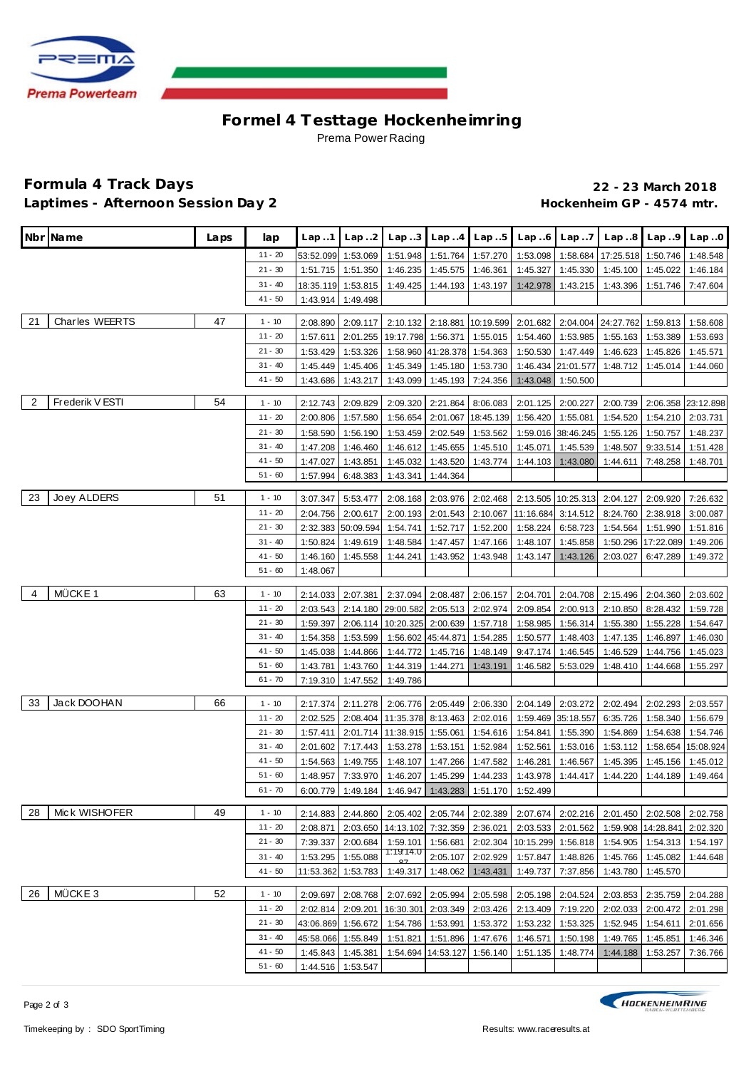

## **Formel 4 Testtage Hockenhe imring** Prema Power Racing

#### **Formula 4 Track Days 22 - 23 March 2018** Laptimes - Afternoon Session Day 2 **Accession 1 and Access 2 and Access 2 and Access** Hockenheim GP - 4574 mtr.

|                | Nbr Name           | Laps | lap                    | Lap.1                | Lap.2                | Lap.3                | Lap.4                       | Lap.5                               |                      | $Lap.6$ $Lap.7$      | Lap.8                | Lap.9                | Lap.0                |
|----------------|--------------------|------|------------------------|----------------------|----------------------|----------------------|-----------------------------|-------------------------------------|----------------------|----------------------|----------------------|----------------------|----------------------|
|                |                    |      | $11 - 20$              | 53:52.099            | 1:53.069             | 1:51.948             |                             | 1:51.764 1:57.270                   | 1:53.098             | 1:58.684             | 17:25.518 1:50.746   |                      | 1:48.548             |
|                |                    |      | $21 - 30$              | 1:51.715             | 1:51.350             | 1:46.235             | 1:45.575                    | 1:46.361                            | 1:45.327             | 1:45.330             | 1:45.100             | 1:45.022             | 1:46.184             |
|                |                    |      | $31 - 40$              | 18:35.119            | 1:53.815             | 1:49.425             | 1:44.193                    | 1:43.197                            | 1:42.978             | 1:43.215             | 1:43.396             | 1:51.746             | 7:47.604             |
|                |                    |      | $41 - 50$              | 1:43.914             | 1:49.498             |                      |                             |                                     |                      |                      |                      |                      |                      |
|                |                    | 47   |                        |                      |                      |                      |                             |                                     |                      |                      |                      |                      |                      |
| 21             | Charles WEERTS     |      | $1 - 10$               | 2:08.890             | 2:09.117             | 2:10.132             |                             | 2:18.881 10:19.599 2:01.682         |                      |                      | 2:04.004 24:27.762   | 1:59.813             | 1:58.608             |
|                |                    |      | $11 - 20$              | 1:57.611             | 2:01.255             |                      |                             | 19:17.798 1:56.371 1:55.015         | 1:54.460             | 1:53.985             | 1:55.163             | 1:53.389             | 1:53.693             |
|                |                    |      | $21 - 30$              | 1:53.429             | 1:53.326             | 1:58.960             |                             | 41:28.378 1:54.363                  | 1:50.530             | 1:47.449             | 1:46.623             | 1:45.826             | 1:45.571             |
|                |                    |      | $31 - 40$<br>$41 - 50$ | 1:45.449             | 1:45.406<br>1:43.217 | 1:45.349<br>1:43.099 | 1:45.180<br>1:45.193        | 1:53.730<br>7:24.356                | 1:46.434             | 21:01.577            | 1:48.712             | 1:45.014             | 1:44.060             |
|                |                    |      |                        | 1:43.686             |                      |                      |                             |                                     | 1:43.048             | 1:50.500             |                      |                      |                      |
| $\overline{2}$ | Frederik V ESTI    | 54   | $1 - 10$               | 2:12.743             | 2:09.829             | 2:09.320             | 2:21.864                    | 8:06.083                            | 2:01.125             | 2:00.227             | 2:00.739             | 2:06.358             | 23:12.898            |
|                |                    |      | $11 - 20$              | 2:00.806             | 1:57.580             | 1:56.654             | 2:01.067                    | 18:45.139                           | 1:56.420             | 1:55.081             | 1:54.520             | 1:54.210             | 2:03.731             |
|                |                    |      | $21 - 30$              | 1:58.590             | 1:56.190             | 1:53.459             | 2:02.549                    | 1:53.562                            |                      | 1:59.016 38:46.245   | 1:55.126             | 1:50.757             | 1:48.237             |
|                |                    |      | $31 - 40$              | 1:47.208             | 1:46.460             | 1:46.612             | 1:45.655                    | 1:45.510                            | 1:45.071             | 1:45.539             | 1:48.507             | 9:33.514             | 1:51.428             |
|                |                    |      | $41 - 50$              | 1:47.027             | 1:43.851             | 1:45.032             | 1:43.520                    | 1:43.774                            | 1:44.103             | 1:43.080             | 1:44.611             | 7:48.258             | 1:48.701             |
|                |                    |      | $51 - 60$              | 1:57.994             | 6:48.383             | 1:43.341             | 1:44.364                    |                                     |                      |                      |                      |                      |                      |
| 23             | Joey ALDERS        | 51   | $1 - 10$               | 3:07.347             | 5:53.477             | 2:08.168             |                             | 2:03.976 2:02.468                   |                      | 2:13.505 10:25.313   | 2:04.127             | 2:09.920             | 7:26.632             |
|                |                    |      | $11 - 20$              | 2:04.756             | 2:00.617             | 2:00.193             |                             | 2:01.543 2:10.067                   | 11:16.684            | 3:14.512             | 8:24.760             | 2:38.918             | 3:00.087             |
|                |                    |      | $21 - 30$              | 2:32.383             | 50:09.594            | 1:54.741             | 1:52.717                    | 1:52.200                            | 1:58.224             | 6:58.723             | 1:54.564             | 1:51.990             | 1:51.816             |
|                |                    |      | $31 - 40$              | 1:50.824             | 1:49.619             | 1:48.584             | 1:47.457                    | 1:47.166                            | 1:48.107             | 1:45.858             | 1:50.296             | 17:22.089            | 1:49.206             |
|                |                    |      | $41 - 50$              | 1:46.160             | 1:45.558             | 1:44.241             | 1:43.952                    | 1:43.948                            | 1:43.147             | 1:43.126             | 2:03.027             | 6:47.289             | 1:49.372             |
|                |                    |      | $51 - 60$              | 1:48.067             |                      |                      |                             |                                     |                      |                      |                      |                      |                      |
|                |                    |      |                        |                      |                      |                      |                             |                                     |                      |                      |                      |                      |                      |
| $\overline{4}$ | MÜCKE 1            | 63   | $1 - 10$               | 2:14.033             | 2:07.381             | 2:37.094             | 2:08.487                    | 2:06.157                            | 2:04.701             | 2:04.708             | 2:15.496             | 2:04.360             | 2:03.602             |
|                |                    |      | $11 - 20$              | 2:03.543             | 2:14.180             | 29:00.582            | 2:05.513                    | 2:02.974                            | 2:09.854             | 2:00.913             | 2:10.850             | 8:28.432             | 1:59.728             |
|                |                    |      | $21 - 30$<br>$31 - 40$ | 1:59.397             | 2:06.114             | 10:20.325            | 2:00.639                    | 1:57.718                            | 1:58.985             | 1:56.314             | 1:55.380             | 1:55.228             | 1:54.647             |
|                |                    |      | 41 - 50                | 1:54.358             | 1:53.599             | 1:56.602             | 45:44.871 1:54.285          |                                     | 1:50.577             | 1:48.403             | 1:47.135             | 1:46.897             | 1:46.030             |
|                |                    |      | $51 - 60$              | 1:45.038<br>1:43.781 | 1:44.866<br>1:43.760 | 1:44.772<br>1:44.319 | 1:45.716<br>1:44.271        | 1:48.149<br>1:43.191                | 9:47.174<br>1:46.582 | 1:46.545<br>5:53.029 | 1:46.529<br>1:48.410 | 1:44.756<br>1:44.668 | 1:45.023<br>1:55.297 |
|                |                    |      | $61 - 70$              | 7:19.310             | 1:47.552             | 1:49.786             |                             |                                     |                      |                      |                      |                      |                      |
|                |                    |      |                        |                      |                      |                      |                             |                                     |                      |                      |                      |                      |                      |
| 33             | Jack DOOHAN        | 66   | $1 - 10$               | 2:17.374             | 2:11.278             | 2:06.776             |                             | 2:05.449 2:06.330                   |                      | 2:04.149 2:03.272    | 2:02.494             | 2:02.293             | 2:03.557             |
|                |                    |      | $11 - 20$              | 2:02.525             | 2:08.404             | 11:35.378            |                             | 8:13.463 2:02.016                   |                      | 1:59.469 35:18.557   | 6:35.726             | 1:58.340             | 1:56.679             |
|                |                    |      | $21 - 30$              | 1:57.411             | 2:01.714             |                      |                             | 11:38.915 1:55.061   1:54.616       | 1:54.841             | 1:55.390             | 1:54.869             | 1:54.638             | 1:54.746             |
|                |                    |      | $31 - 40$              | 2:01.602             | 7:17.443             | 1:53.278             | 1:53.151                    | 1:52.984                            | 1:52.561             | 1:53.016             | 1:53.112             | 1:58.654             | 15:08.924            |
|                |                    |      | $41 - 50$              | 1:54.563             | 1:49.755             | 1:48.107             | 1:47.266                    | 1:47.582                            | 1:46.281             | 1:46.567             | 1:45.395             | 1:45.156             | 1:45.012             |
|                |                    |      | $51 - 60$              | 1:48.957             | 7:33.970             | 1:46.207             | 1:45.299                    | 1:44.233                            | 1:43.978             | 1:44.417             | 1:44.220             | 1:44.189             | 1:49.464             |
|                |                    |      | $61 - 70$              |                      | 6:00.779 1:49.184    |                      |                             | 1:46.947 1:43.283 1:51.170 1:52.499 |                      |                      |                      |                      |                      |
| 28             | Mick WISHOFER      | 49   | $1 - 10$               | 2:14.883             | 2:44.860             | 2:05.402             |                             | 2:05.744 2:02.389                   |                      | 2:07.674 2:02.216    | 2:01.450             | 2:02.508             | 2:02.758             |
|                |                    |      | 11 - 20                | 2:08.871             | 2:03.650             |                      |                             | 14:13.102 7:32.359 2:36.021         |                      | 2:03.533 2:01.562    | 1:59.908             | 14:28.841            | 2:02.320             |
|                |                    |      | $21 - 30$              | 7:39.337             | 2:00.684             | 1:59.101             | 1:56.681                    | 2:02.304                            | 10:15.299            | 1:56.818             | 1:54.905             | 1:54.313             | 1:54.197             |
|                |                    |      | $31 - 40$              | 1:53.295             | 1:55.088             | 1:19:14.0            |                             | 2:05.107 2:02.929                   | 1:57.847             | 1:48.826             | 1:45.766             | 1:45.082             | 1:44.648             |
|                |                    |      | $41 - 50$              | 11:53.362            | 1:53.783             | 1:49.317             | 1:48.062                    | 1:43.431                            | 1:49.737             | 7:37.856             | 1:43.780             | 1:45.570             |                      |
|                |                    |      |                        |                      |                      |                      |                             |                                     |                      |                      |                      |                      |                      |
| 26             | MÜCKE <sub>3</sub> | 52   | $1 - 10$               | 2:09.697             | 2:08.768             | 2:07.692             | 2:05.994                    | 2:05.598                            | 2:05.198             | 2:04.524             | 2:03.853             | 2:35.759             | 2:04.288             |
|                |                    |      | 11 - 20                | 2:02.814             | 2:09.201             | 16:30.301            |                             | 2:03.349 2:03.426                   | 2:13.409             | 7:19.220             | 2:02.033             | 2:00.472             | 2:01.298             |
|                |                    |      | $21 - 30$              |                      | 43:06.869 1:56.672   | 1:54.786             | 1:53.991                    | 1:53.372                            | 1:53.232             | 1:53.325             | 1:52.945             | 1:54.611             | 2:01.656             |
|                |                    |      | $31 - 40$              |                      | 45:58.066 1:55.849   | 1:51.821             | 1:51.896                    | 1:47.676                            | 1:46.571             | 1:50.198             | 1:49.765             | 1:45.851             | 1:46.346             |
|                |                    |      | 41 - 50<br>$51 - 60$   | 1:45.843             | 1:45.381             |                      | 1:54.694 14:53.127 1:56.140 |                                     | 1:51.135             | 1:48.774             | 1:44.188             | 1:53.257             | 7:36.766             |
|                |                    |      |                        |                      | 1:44.516 1:53.547    |                      |                             |                                     |                      |                      |                      |                      |                      |